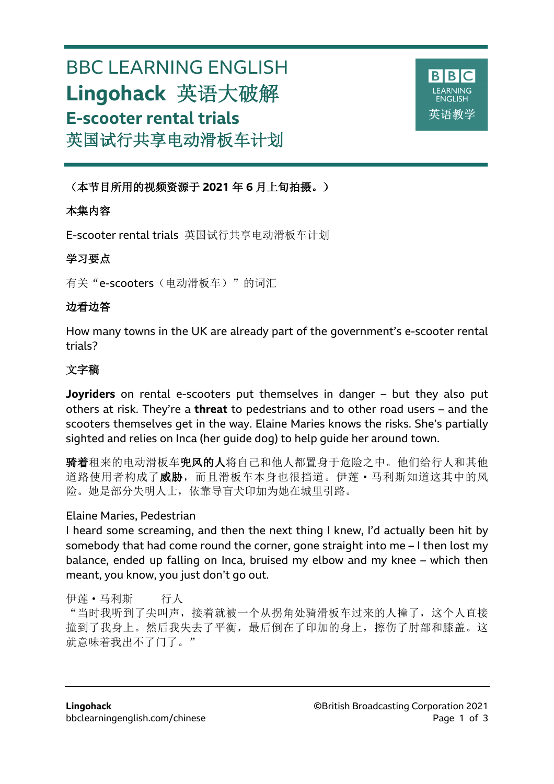# BBC LEARNING ENGLISH **Lingohack** 英语大破解 **E-scooter rental trials** 英国试行共享电动滑板车计划



(本节目所用的视频资源于 **2021** 年 **6** 月上旬拍摄。)

# 本集内容

l

E-scooter rental trials 英国试行共享电动滑板车计划

## 学习要点

有关"e-scooters(电动滑板车)"的词汇

## 边看边答

How many towns in the UK are already part of the government's e-scooter rental trials?

# 文字稿

**Joyriders** on rental e-scooters put themselves in danger – but they also put others at risk. They're a **threat** to pedestrians and to other road users – and the scooters themselves get in the way. Elaine Maries knows the risks. She's partially sighted and relies on Inca (her guide dog) to help guide her around town.

骑着租来的电动滑板车兜风的人将自己和他人都置身于危险之中。他们给行人和其他 道路使用者构成了威胁,而且滑板车本身也很挡道。伊莲·马利斯知道这其中的风 险。她是部分失明人士,依靠导盲犬印加为她在城里引路。

## Elaine Maries, Pedestrian

I heard some screaming, and then the next thing I knew, I'd actually been hit by somebody that had come round the corner, gone straight into me – I then lost my balance, ended up falling on Inca, bruised my elbow and my knee – which then meant, you know, you just don't go out.

伊莲·马利斯 行人 "当时我听到了尖叫声,接着就被一个从拐角处骑滑板车过来的人撞了,这个人直接 撞到了我身上。然后我失去了平衡,最后倒在了印加的身上,擦伤了肘部和膝盖。这 就意味着我出不了门了。"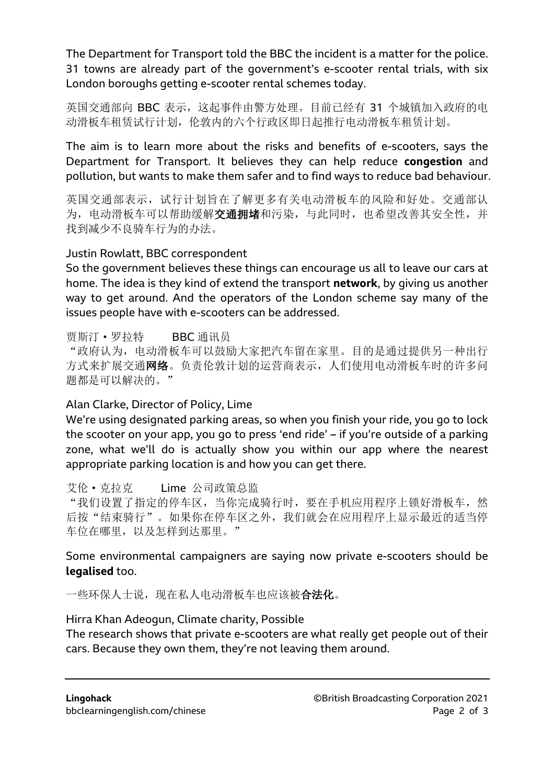The Department for Transport told the BBC the incident is a matter for the police. 31 towns are already part of the government's e-scooter rental trials, with six London boroughs getting e-scooter rental schemes today.

英国交通部向 BBC 表示, 这起事件由警方处理。目前已经有 31 个城镇加入政府的电 动滑板车租赁试行计划,伦敦内的六个行政区即日起推行电动滑板车租赁计划。

The aim is to learn more about the risks and benefits of e-scooters, says the Department for Transport. It believes they can help reduce **congestion** and pollution, but wants to make them safer and to find ways to reduce bad behaviour.

英国交通部表示,试行计划旨在了解更多有关电动滑板车的风险和好处。交通部认 为, 电动滑板车可以帮助缓解交通拥堵和污染, 与此同时, 也希望改善其安全性, 并 找到减少不良骑车行为的办法。

## Justin Rowlatt, BBC correspondent

So the government believes these things can encourage us all to leave our cars at home. The idea is they kind of extend the transport **network**, by giving us another way to get around. And the operators of the London scheme say many of the issues people have with e-scooters can be addressed.

#### 贾斯汀·罗拉特 BBC 通讯员

"政府认为,电动滑板车可以鼓励大家把汽车留在家里。目的是通过提供另一种出行 方式来扩展交通网络。负责伦敦计划的运营商表示,人们使用电动滑板车时的许多问 题都是可以解决的。"

## Alan Clarke, Director of Policy, Lime

We're using designated parking areas, so when you finish your ride, you go to lock the scooter on your app, you go to press 'end ride' – if you're outside of a parking zone, what we'll do is actually show you within our app where the nearest appropriate parking location is and how you can get there.

艾伦·克拉克 Lime 公司政策总监

"我们设置了指定的停车区,当你完成骑行时,要在手机应用程序上锁好滑板车,然 后按"结束骑行"。如果你在停车区之外,我们就会在应用程序上显示最近的适当停 车位在哪里,以及怎样到达那里。"

Some environmental campaigners are saying now private e-scooters should be **legalised** too.

一些环保人士说, 现在私人电动滑板车也应该被**合法化**。

## Hirra Khan Adeogun, Climate charity, Possible

The research shows that private e-scooters are what really get people out of their cars. Because they own them, they're not leaving them around.